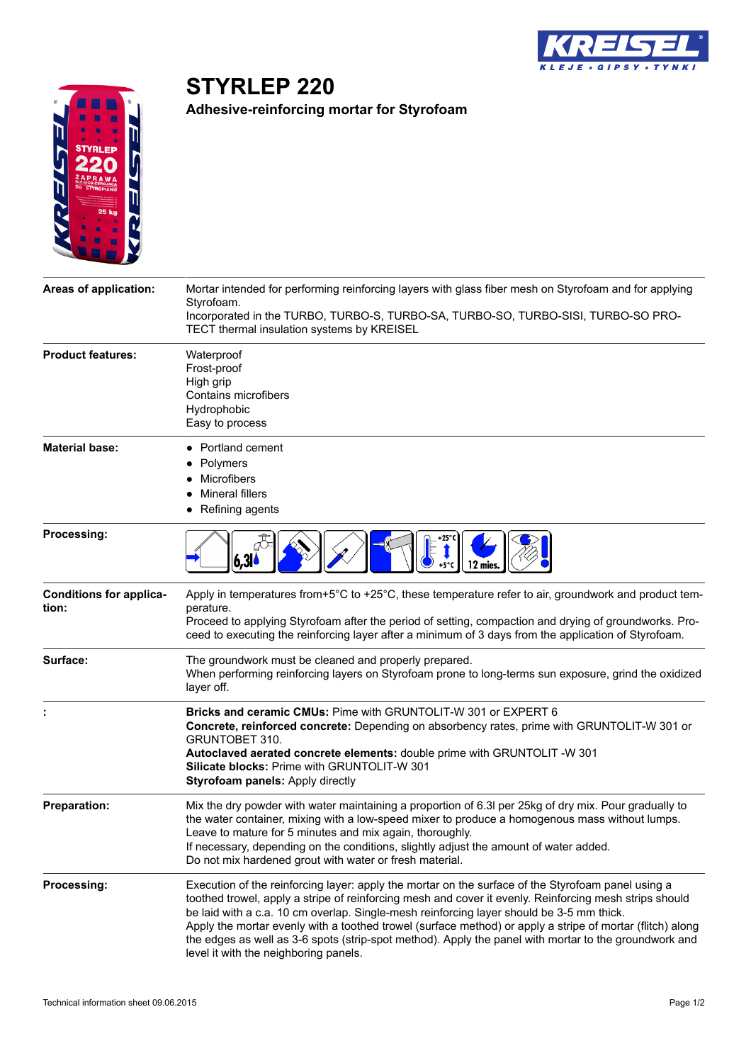

## **STYRLEP 220**



**Adhesive-reinforcing mortar for Styrofoam**

| Areas of application:                   | Mortar intended for performing reinforcing layers with glass fiber mesh on Styrofoam and for applying<br>Styrofoam.<br>Incorporated in the TURBO, TURBO-S, TURBO-SA, TURBO-SO, TURBO-SISI, TURBO-SO PRO-<br>TECT thermal insulation systems by KREISEL                                                                                                                                                                                                                                                                                                                  |
|-----------------------------------------|-------------------------------------------------------------------------------------------------------------------------------------------------------------------------------------------------------------------------------------------------------------------------------------------------------------------------------------------------------------------------------------------------------------------------------------------------------------------------------------------------------------------------------------------------------------------------|
| <b>Product features:</b>                | Waterproof<br>Frost-proof<br>High grip<br>Contains microfibers<br>Hydrophobic<br>Easy to process                                                                                                                                                                                                                                                                                                                                                                                                                                                                        |
| <b>Material base:</b>                   | Portland cement<br>Polymers<br>Microfibers<br><b>Mineral fillers</b><br>Refining agents<br>٠                                                                                                                                                                                                                                                                                                                                                                                                                                                                            |
| Processing:                             | 6,3<br>12 mies                                                                                                                                                                                                                                                                                                                                                                                                                                                                                                                                                          |
| <b>Conditions for applica-</b><br>tion: | Apply in temperatures from+5°C to +25°C, these temperature refer to air, groundwork and product tem-<br>perature.<br>Proceed to applying Styrofoam after the period of setting, compaction and drying of groundworks. Pro-<br>ceed to executing the reinforcing layer after a minimum of 3 days from the application of Styrofoam.                                                                                                                                                                                                                                      |
| Surface:                                | The groundwork must be cleaned and properly prepared.<br>When performing reinforcing layers on Styrofoam prone to long-terms sun exposure, grind the oxidized<br>layer off.                                                                                                                                                                                                                                                                                                                                                                                             |
|                                         | Bricks and ceramic CMUs: Pime with GRUNTOLIT-W 301 or EXPERT 6<br>Concrete, reinforced concrete: Depending on absorbency rates, prime with GRUNTOLIT-W 301 or<br><b>GRUNTOBET 310.</b><br>Autoclaved aerated concrete elements: double prime with GRUNTOLIT -W 301<br><b>Silicate blocks: Prime with GRUNTOLIT-W 301</b><br>Styrofoam panels: Apply directly                                                                                                                                                                                                            |
| <b>Preparation:</b>                     | Mix the dry powder with water maintaining a proportion of 6.3I per 25kg of dry mix. Pour gradually to<br>the water container, mixing with a low-speed mixer to produce a homogenous mass without lumps.<br>Leave to mature for 5 minutes and mix again, thoroughly.<br>If necessary, depending on the conditions, slightly adjust the amount of water added.<br>Do not mix hardened grout with water or fresh material.                                                                                                                                                 |
| Processing:                             | Execution of the reinforcing layer: apply the mortar on the surface of the Styrofoam panel using a<br>toothed trowel, apply a stripe of reinforcing mesh and cover it evenly. Reinforcing mesh strips should<br>be laid with a c.a. 10 cm overlap. Single-mesh reinforcing layer should be 3-5 mm thick.<br>Apply the mortar evenly with a toothed trowel (surface method) or apply a stripe of mortar (flitch) along<br>the edges as well as 3-6 spots (strip-spot method). Apply the panel with mortar to the groundwork and<br>level it with the neighboring panels. |